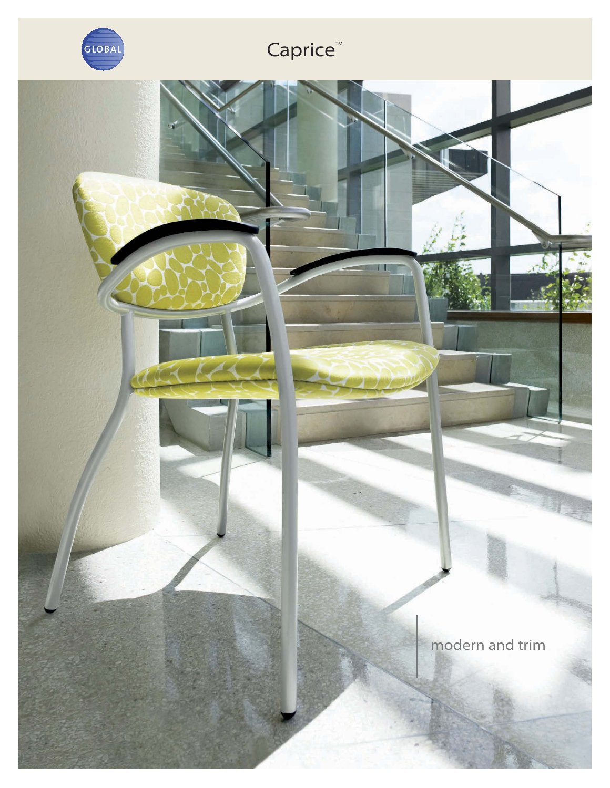

## Caprice<sup>™</sup>

л

modern and trim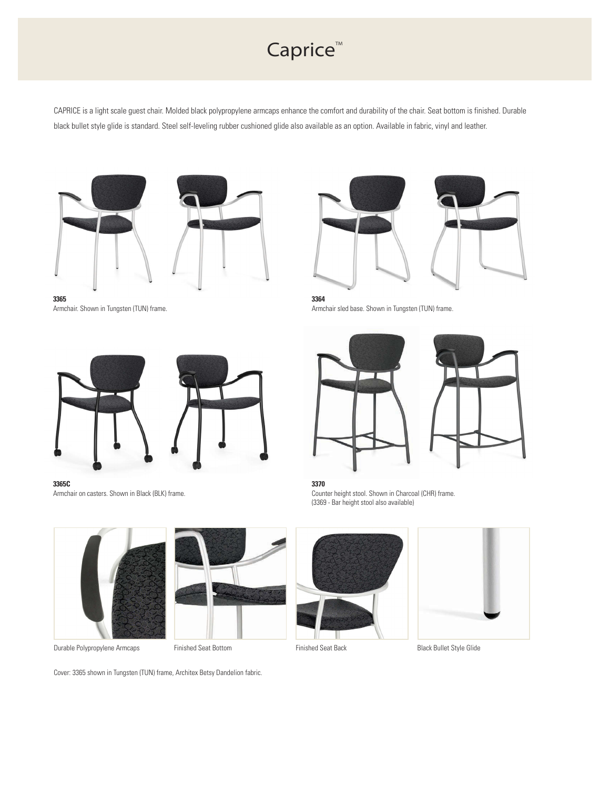## Caprice<sup>™</sup>

CAPRICE is a light scale guest chair. Molded black polypropylene armcaps enhance the comfort and durability of the chair. Seat bottom is finished. Durable black bullet style glide is standard. Steel self-leveling rubber cushioned glide also available as an option. Available in fabric, vinyl and leather.



**3365** Armchair. Shown in Tungsten (TUN) frame.





**3364** Armchair sled base. Shown in Tungsten (TUN) frame.



**3365C** Armchair on casters. Shown in Black (BLK) frame.





Durable Polypropylene Armcaps Finished Seat Bottom Finished Seat Back Bullet Style Glide





**3370** Counter height stool. Shown in Charcoal (CHR) frame. (3369 - Bar height stool also available)



Cover: 3365 shown in Tungsten (TUN) frame, Architex Betsy Dandelion fabric.